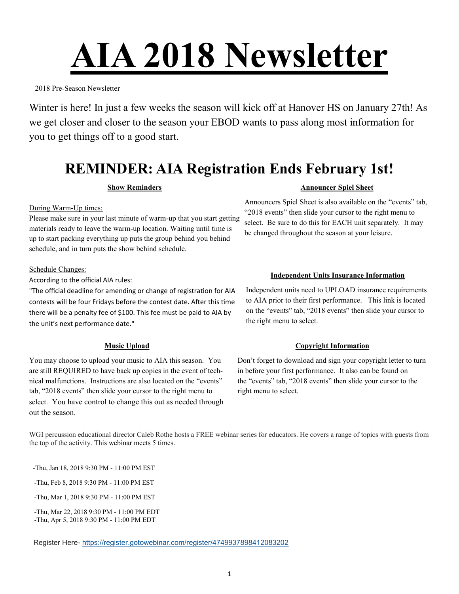# **AIA 2018 Newsletter**

2018 Pre-Season Newsletter

Winter is here! In just a few weeks the season will kick off at Hanover HS on January 27th! As we get closer and closer to the season your EBOD wants to pass along most information for you to get things off to a good start.

## **REMINDER: AIA Registration Ends February 1st!**

#### **Show Reminders**

During Warm-Up times:

Please make sure in your last minute of warm-up that you start getting materials ready to leave the warm-up location. Waiting until time is up to start packing everything up puts the group behind you behind schedule, and in turn puts the show behind schedule.

Schedule Changes:

According to the official AIA rules:

"The official deadline for amending or change of registration for AIA contests will be four Fridays before the contest date. After this time there will be a penalty fee of \$100. This fee must be paid to AIA by the unit's next performance date."

#### **Music Upload**

You may choose to upload your music to AIA this season. You are still REQUIRED to have back up copies in the event of technical malfunctions. Instructions are also located on the "events" tab, "2018 events" then slide your cursor to the right menu to select. You have control to change this out as needed through out the season.

#### **Announcer Spiel Sheet**

Announcers Spiel Sheet is also available on the "events" tab, "2018 events" then slide your cursor to the right menu to select. Be sure to do this for EACH unit separately. It may be changed throughout the season at your leisure.

#### **Independent Units Insurance Information**

Independent units need to UPLOAD insurance requirements to AIA prior to their first performance. This link is located on the "events" tab, "2018 events" then slide your cursor to the right menu to select.

#### **Copyright Information**

Don't forget to download and sign your copyright letter to turn in before your first performance. It also can be found on the "events" tab, "2018 events" then slide your cursor to the right menu to select.

WGI percussion educational director Caleb Rothe hosts a FREE webinar series for educators. He covers a range of topics with guests from the top of the activity. This webinar meets 5 times.

-Thu, Jan 18, 2018 9:30 PM - 11:00 PM EST

-Thu, Feb 8, 2018 9:30 PM - 11:00 PM EST

-Thu, Mar 1, 2018 9:30 PM - 11:00 PM EST

-Thu, Mar 22, 2018 9:30 PM - 11:00 PM EDT -Thu, Apr 5, 2018 9:30 PM - 11:00 PM EDT

Register Here- <https://register.gotowebinar.com/register/4749937898412083202>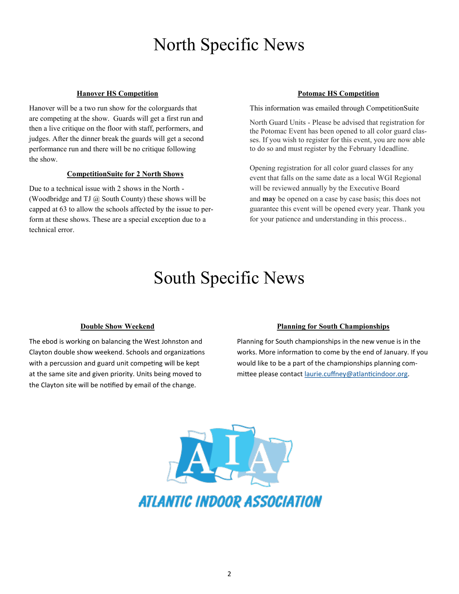# North Specific News

#### **Hanover HS Competition**

Hanover will be a two run show for the colorguards that are competing at the show. Guards will get a first run and then a live critique on the floor with staff, performers, and judges. After the dinner break the guards will get a second performance run and there will be no critique following the show.

#### **CompetitionSuite for 2 North Shows**

Due to a technical issue with 2 shows in the North - (Woodbridge and TJ  $(a)$  South County) these shows will be capped at 63 to allow the schools affected by the issue to perform at these shows. These are a special exception due to a technical error.

#### **Potomac HS Competition**

This information was emailed through CompetitionSuite

North Guard Units - Please be advised that registration for the Potomac Event has been opened to all color guard classes. If you wish to register for this event, you are now able to do so and must register by the February 1deadline.

Opening registration for all color guard classes for any event that falls on the same date as a local WGI Regional will be reviewed annually by the Executive Board and **may** be opened on a case by case basis; this does not guarantee this event will be opened every year. Thank you for your patience and understanding in this process..

## South Specific News

#### **Double Show Weekend**

The ebod is working on balancing the West Johnston and Clayton double show weekend. Schools and organizations with a percussion and guard unit competing will be kept at the same site and given priority. Units being moved to the Clayton site will be notified by email of the change.

#### **Planning for South Championships**

Planning for South championships in the new venue is in the works. More information to come by the end of January. If you would like to be a part of the championships planning committee please contact [laurie.cuffney@atlanticindoor.org.](mailto:laurie.cuffney@atlanticindoor.org)